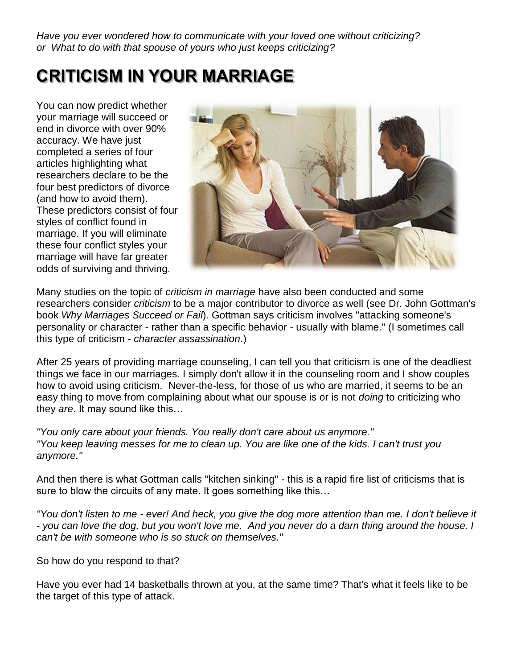*Have you ever wondered how to communicate with your loved one without criticizing? or What to do with that spouse of yours who just keeps criticizing?*

# **CRITICISM IN YOUR MARRIAGE**

You can now predict whether your marriage will succeed or end in divorce with over 90% accuracy. We have just completed a series of four articles highlighting what researchers declare to be the four best predictors of divorce (and how to avoid them). These predictors consist of four styles of conflict found in marriage. If you will eliminate these four conflict styles your marriage will have far greater odds of surviving and thriving.



Many studies on the topic of *criticism in marriage* have also been conducted and some researchers consider *criticism* to be a major contributor to divorce as well (see Dr. John Gottman's book *Why Marriages Succeed or Fail*). Gottman says criticism involves "attacking someone's personality or character - rather than a specific behavior - usually with blame." (I sometimes call this type of criticism - *character assassination*.)

After 25 years of providing marriage counseling, I can tell you that criticism is one of the deadliest things we face in our marriages. I simply don't allow it in the counseling room and I show couples how to avoid using criticism. Never-the-less, for those of us who are married, it seems to be an easy thing to move from complaining about what our spouse is or is not *doing* to criticizing who they *are*. It may sound like this…

*"You only care about your friends. You really don't care about us anymore." "You keep leaving messes for me to clean up. You are like one of the kids. I can't trust you anymore."*

And then there is what Gottman calls "kitchen sinking" - this is a rapid fire list of criticisms that is sure to blow the circuits of any mate. It goes something like this...

*"You don't listen to me - ever! And heck, you give the dog more attention than me. I don't believe it - you can love the dog, but you won't love me. And you never do a darn thing around the house. I can't be with someone who is so stuck on themselves."*

So how do you respond to that?

Have you ever had 14 basketballs thrown at you, at the same time? That's what it feels like to be the target of this type of attack.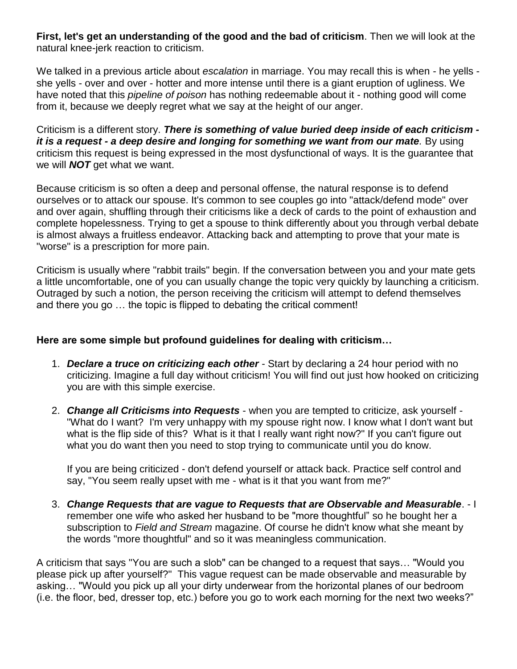**First, let's get an understanding of the good and the bad of criticism**. Then we will look at the natural knee-jerk reaction to criticism.

We talked in a previous article about *escalation* in marriage. You may recall this is when - he yells she yells - over and over - hotter and more intense until there is a giant eruption of ugliness. We have noted that this *pipeline of poison* has nothing redeemable about it - nothing good will come from it, because we deeply regret what we say at the height of our anger.

Criticism is a different story. *There is something of value buried deep inside of each criticism it is a request - a deep desire and longing for something we want from our mate.* By using criticism this request is being expressed in the most dysfunctional of ways. It is the guarantee that we will *NOT* get what we want.

Because criticism is so often a deep and personal offense, the natural response is to defend ourselves or to attack our spouse. It's common to see couples go into "attack/defend mode" over and over again, shuffling through their criticisms like a deck of cards to the point of exhaustion and complete hopelessness. Trying to get a spouse to think differently about you through verbal debate is almost always a fruitless endeavor. Attacking back and attempting to prove that your mate is "worse" is a prescription for more pain.

Criticism is usually where "rabbit trails" begin. If the conversation between you and your mate gets a little uncomfortable, one of you can usually change the topic very quickly by launching a criticism. Outraged by such a notion, the person receiving the criticism will attempt to defend themselves and there you go … the topic is flipped to debating the critical comment!

#### **Here are some simple but profound guidelines for dealing with criticism…**

- 1. *Declare a truce on criticizing each other* Start by declaring a 24 hour period with no criticizing. Imagine a full day without criticism! You will find out just how hooked on criticizing you are with this simple exercise.
- 2. *Change all Criticisms into Requests* when you are tempted to criticize, ask yourself "What do I want? I'm very unhappy with my spouse right now. I know what I don't want but what is the flip side of this? What is it that I really want right now?" If you can't figure out what you do want then you need to stop trying to communicate until you do know.

If you are being criticized - don't defend yourself or attack back. Practice self control and say, "You seem really upset with me - what is it that you want from me?"

3. *Change Requests that are vague to Requests that are Observable and Measurable*. - I remember one wife who asked her husband to be "more thoughtful" so he bought her a subscription to *Field and Stream* magazine. Of course he didn't know what she meant by the words "more thoughtful" and so it was meaningless communication.

A criticism that says "You are such a slob" can be changed to a request that says… "Would you please pick up after yourself?" This vague request can be made observable and measurable by asking… "Would you pick up all your dirty underwear from the horizontal planes of our bedroom (i.e. the floor, bed, dresser top, etc.) before you go to work each morning for the next two weeks?"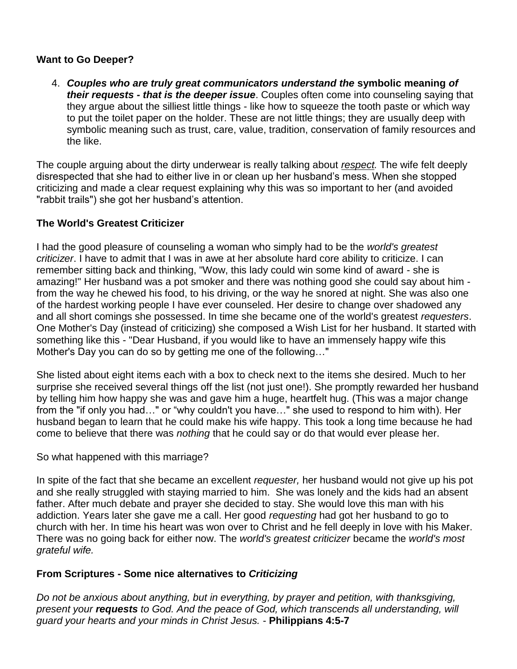# **Want to Go Deeper?**

4. *Couples who are truly great communicators understand the* **symbolic meaning** *of their requests - that is the deeper issue*. Couples often come into counseling saying that they argue about the silliest little things - like how to squeeze the tooth paste or which way to put the toilet paper on the holder. These are not little things; they are usually deep with symbolic meaning such as trust, care, value, tradition, conservation of family resources and the like.

The couple arguing about the dirty underwear is really talking about *respect.* The wife felt deeply disrespected that she had to either live in or clean up her husband's mess. When she stopped criticizing and made a clear request explaining why this was so important to her (and avoided "rabbit trails") she got her husband's attention.

# **The World's Greatest Criticizer**

I had the good pleasure of counseling a woman who simply had to be the *world's greatest criticizer*. I have to admit that I was in awe at her absolute hard core ability to criticize. I can remember sitting back and thinking, "Wow, this lady could win some kind of award - she is amazing!" Her husband was a pot smoker and there was nothing good she could say about him from the way he chewed his food, to his driving, or the way he snored at night. She was also one of the hardest working people I have ever counseled. Her desire to change over shadowed any and all short comings she possessed. In time she became one of the world's greatest *requesters*. One Mother's Day (instead of criticizing) she composed a Wish List for her husband. It started with something like this - "Dear Husband, if you would like to have an immensely happy wife this Mother's Day you can do so by getting me one of the following…"

She listed about eight items each with a box to check next to the items she desired. Much to her surprise she received several things off the list (not just one!). She promptly rewarded her husband by telling him how happy she was and gave him a huge, heartfelt hug. (This was a major change from the "if only you had…" or "why couldn't you have…" she used to respond to him with). Her husband began to learn that he could make his wife happy. This took a long time because he had come to believe that there was *nothing* that he could say or do that would ever please her.

#### So what happened with this marriage?

In spite of the fact that she became an excellent *requester,* her husband would not give up his pot and she really struggled with staying married to him. She was lonely and the kids had an absent father. After much debate and prayer she decided to stay. She would love this man with his addiction. Years later she gave me a call. Her good *requesting* had got her husband to go to church with her. In time his heart was won over to Christ and he fell deeply in love with his Maker. There was no going back for either now. The *world's greatest criticizer* became the *world's most grateful wife.*

#### **From Scriptures - Some nice alternatives to** *Criticizing*

*Do not be anxious about anything, but in everything, by prayer and petition, with thanksgiving, present your requests to God. And the peace of God, which transcends all understanding, will guard your hearts and your minds in Christ Jesus.* - **Philippians 4:5-7**